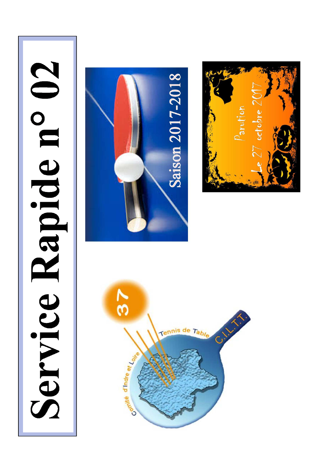# Service Rapide n° 02





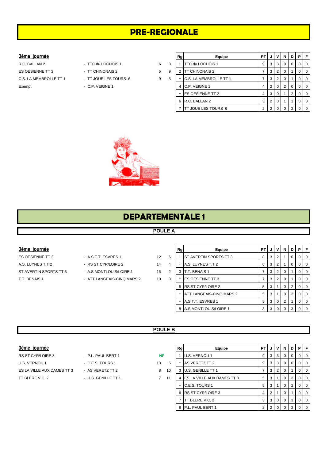# **PRE-REGIONALE**

### $3$ ème journée

R.C. BALLAN 2 - TTC du LOCHOIS 1 6 8 1 TTC du LOCHOIS 1 9 3 3 0 0 0 0 ES OESIENNE TT 2 <sup>-</sup> TT CHINONAIS 2 5 9 C.S. LA MEMBROLLE TT 1 - TT JOUE LES TOURS 6 9 5 Exempt - C.P. VEIGNE 1

- 
- 
- 
- -

|   | Rg | Equipe                  | PT |   | v              | N        | D | Р |   |
|---|----|-------------------------|----|---|----------------|----------|---|---|---|
|   |    | TTC du LOCHOIS 1        | 9  | 3 | 3              | $\Omega$ | O | O |   |
|   | 2  | <b>TT CHINONAIS 2</b>   | 7  | 3 | $\overline{2}$ | $\Omega$ |   |   |   |
| ï |    | C.S. LA MEMBROLLE TT 1  | 7  | 3 | 2              | 0        |   |   | ∩ |
|   | 4  | C.P. VEIGNE 1           | 4  | 2 | 0              | 2        | 0 | O |   |
|   | -  | <b>ES OESIENNE TT 2</b> | 4  | 3 | $\Omega$       |          | 2 | O |   |
|   | 6  | R.C. BALLAN 2           | 3  | 2 | 0              |          |   |   |   |
|   |    | TT JOUE LES TOURS 6     | 2  | 2 |                |          | ◠ |   |   |



# **DEPARTEMENTALE 1**

# **POULE A**

### $3$ ème journée

ES OESIENNE TT 3 - A.S.T.T. ESVRES 1 12 6 A.S. LUYNES T.T 2 **A.S. LUYNES T.T 2** 4

- 
- ST AVERTIN SPORTS TT 3 A.S MONTLOUIS/LOIRE 1 16 2
- T.T. BENAIS 1 ATT LANGEAIS-CINQ MARS 2 10 8

|   | Rg | Equipe                   | PТ |   | v        | N | D | Р        | F        |
|---|----|--------------------------|----|---|----------|---|---|----------|----------|
| š |    | ST AVERTIN SPORTS TT 3   | 8  | 3 | 2        |   | Ω | 0        | $\Omega$ |
| 1 |    | A.S. LUYNES T.T 2        | 8  | 3 | 2        |   | Ω | 0        | $\Omega$ |
| , | 3  | T.T. BENAIS 1            | 7  | 3 | 2        | 0 |   | O        | $\Omega$ |
| š |    | <b>ES OESIENNE TT 3</b>  | 7  | 3 | 2        | 0 |   | O        | $\Omega$ |
|   | 5  | RS ST CYR/LOIRE 2        | 5  | 3 |          | 0 | 2 | 0        | $\Omega$ |
|   |    | ATT LANGEAIS-CINQ MARS 2 | 5  | 3 |          | 0 | 2 | $\Omega$ | $\Omega$ |
|   |    | A.S.T.T. ESVRES 1        | 5  | 3 | $\Omega$ | 2 |   | 0        | $\Omega$ |
|   | 8  | A.S MONTLOUIS/LOIRE 1    | 3  | 3 | 0        |   | 3 |          |          |

### **POULE B**

| 3ème journée |  |
|--------------|--|
|              |  |

| - P.L. PAUL BERT 1  |
|---------------------|
| - C.E.S. TOURS 1    |
| - AS VERETZ TT 2    |
| - U.S. GENILLE TT 1 |
|                     |

| 3ème journée               |                     |                |    | Rg | Equipe                       | <b>PT</b> | J   | $\mathsf{I} \mathsf{V} \mathsf{I}$ | N I            |                | <b>DIPIF</b> |                |  |
|----------------------------|---------------------|----------------|----|----|------------------------------|-----------|-----|------------------------------------|----------------|----------------|--------------|----------------|--|
| RS ST CYR/LOIRE 3          | - P.L. PAUL BERT 1  | <b>NP</b>      |    |    | U.S. VERNOU 1                | 9         | 3 I | 3 <sup>1</sup>                     | $\mathbf{0}$   |                |              | $\overline{0}$ |  |
| U.S. VERNOU 1              | - C.E.S. TOURS 1    | 13             | 5  |    | AS VERETZ TT 2               | 9         | 3 I | 3 I                                | $\overline{0}$ | $\overline{0}$ |              | $\overline{0}$ |  |
| ES LA VILLE AUX DAMES TT 3 | - AS VERETZ TT 2    | 8              | 10 |    | 3 U.S. GENILLE TT 1          |           | 3   | $\overline{2}$                     |                |                |              | I O            |  |
| TT BLERE V.C. 2            | - U.S. GENILLE TT 1 | $\overline{7}$ | 11 |    | 4 ES LA VILLE AUX DAMES TT 3 | 5         |     | 3   1                              | $\overline{0}$ | 2              |              | $\overline{0}$ |  |
|                            |                     |                |    |    | C.E.S. TOURS 1               | 5         | 3 I |                                    | $\overline{0}$ | 2 <sup>1</sup> |              | $\overline{0}$ |  |
|                            |                     |                |    |    | 6 RS ST CYR/LOIRE 3          | 4         |     |                                    |                |                |              | $\overline{0}$ |  |
|                            |                     |                |    |    | TT BLERE V.C. 2              | 3         |     | 3 0                                | $\overline{0}$ | 3 <sup>1</sup> |              | $\overline{0}$ |  |
|                            |                     |                |    |    | 8 P.L. PAUL BERT 1           | 2         | C   | : I 0 I                            | $\Omega$       | $\overline{2}$ |              | $\overline{0}$ |  |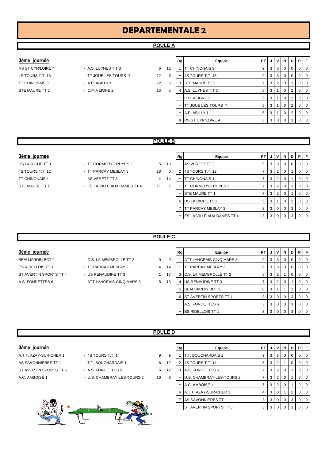# **DEPARTEMENTALE 2**

# **POULE A**

### $3$ ème journée

- STE MAURE TT 2 C.P. VEIGNE 2 13 5
- RS ST CYR/LOIRE 4 A.S. LUYNES T.T 3 6 12 4S TOURS T.T. 13 - TT JOUE LES TOURS 7 12 6 - 4S TOURS T.T. 13 9 3 3 0 0 0 0
	-
- -

| 3ème journée      |                       |                   |    | Rg | Equipe                      | PT I |                | JIV            | <b>N</b>       | D | PIF            |                |
|-------------------|-----------------------|-------------------|----|----|-----------------------------|------|----------------|----------------|----------------|---|----------------|----------------|
| RS ST CYR/LOIRE 4 | - A.S. LUYNES T.T 3   | 6                 | 12 |    | <b>ITT CHINONAIS 3</b>      | 9    |                | $3 \mid 3$     | 0              |   |                | $\overline{0}$ |
| 4S TOURS T.T. 13  | - TT JOUE LES TOURS 7 | $12 \overline{ }$ | -6 | -  | 4S TOURS T.T. 13            | 9    |                | $3 \mid 3$     | 0              |   |                | I O            |
| TT CHINONAIS 3    | $-$ A.P. ABILLY 1     | $12 \overline{ }$ | -6 | 3  | <b>STE MAURE TT 2</b>       |      | 3 <sup>1</sup> | 2 <sup>1</sup> |                |   |                | l 0            |
| STE MAURE TT 2    | - C.P. VEIGNE 2       | 13                | -5 | 4  | A.S. LUYNES T.T 3           | 5    | 3              |                | 0              |   |                | l 0            |
|                   |                       |                   |    | ۰  | C.P. VEIGNE 2               | 5    | 3 I            |                | 0              |   |                | $\overline{0}$ |
|                   |                       |                   |    | ۰  | <b>ITT JOUE LES TOURS 7</b> | 5    | 3 I            |                | $\overline{0}$ | 2 |                | 0 <sub>0</sub> |
|                   |                       |                   |    |    | A.P. ABILLY 1               | 5    | 3 I            |                | $\overline{0}$ | 2 |                | $\overline{0}$ |
|                   |                       |                   |    | 8  | <b>RS ST CYR/LOIRE 4</b>    | 3    |                | 30             | $\overline{0}$ | 3 | 0 <sup>1</sup> |                |

### **POULE B**

### $3$ ème journée

TT CHINONAIS 4 - AS VERETZ TT 3 4 14

- US LA RICHE TT 1 TT CORMERY-TRUYES 2 5 13 4S TOURS T.T. 12 **- TT PARCAY MESLAY 3** 18 0
	-
- STE MAURE TT 1 STE MAURE TT 1 FS LA VILLE AUX DAMES TT 4 2 11 2

| Rg | Equipe                     | PТ |   | v        | N | D | Р | F        |
|----|----------------------------|----|---|----------|---|---|---|----------|
| 1  | AS VERETZ TT 3             | 9  | 3 | 3        | 0 | 0 | O | 0        |
| 2  | 4S TOURS T.T. 12           | 7  | 3 | 2        | 0 | 1 | Ω | $\Omega$ |
|    | <b>TT CHINONAIS 4</b>      | 7  | 3 | 2        | 0 | 1 | O | 0        |
|    | TT CORMERY-TRUYES 2        | 7  | 3 | 2        | 0 |   | O | O        |
|    | <b>STE MAURE TT 1</b>      | 7  | 3 | 2        | 0 |   | Ω | O        |
| 6  | US LA RICHE TT 1           | 5  | 3 |          | 0 | 2 | O | O        |
| 7  | TT PARCAY MESLAY 3         | 3  | 3 | $\Omega$ | 0 | 3 | 0 | 0        |
|    | ES LA VILLE AUX DAMES TT 4 | 3  | 3 | $\Omega$ | O | 3 |   | ∩        |

### **POULE C**

**POULE D**

### $3$ ème journée

ES RIDELLOIS TT 1  $\overline{1}$  - TT PARCAY MESLAY 2  $\overline{4}$  1 ST AVERTIN SPORTS TT 4 - US RENAUDINE TT 3 4 3 1 1 A.S. FONDETTES 6 - ATT LANGEAIS-CINQ MARS 3 5 13

- BEAUJARDIN BCT 2 C.S. LA MEMBROLLE TT 2 9
	-
	-

|   | Rg | Equipe                        | PT |   | ν              | N | D        | Р        | F |
|---|----|-------------------------------|----|---|----------------|---|----------|----------|---|
| 9 |    | ATT LANGEAIS-CINQ MARS 3      | 9  | 3 | 3              | Ω | $\Omega$ | O        | 0 |
| 4 |    | TT PARCAY MESLAY 2            | 9  | 3 | 3              | 0 | $\Omega$ | 0        | 0 |
| 7 | 3  | C.S. LA MEMBROLLE TT 2        | 8  | 3 | $\overline{2}$ |   | 0        | $\Omega$ | 0 |
| 3 | 4  | US RENAUDINE TT 3             | 7  | 3 | $\overline{2}$ | 0 |          | 0        | 0 |
|   | 5  | <b>BEAUJARDIN BCT 2</b>       | 6  | 3 |                |   |          | $\Omega$ | 0 |
|   | 6  | <b>ST AVERTIN SPORTS TT 4</b> | 3  | 3 | $\Omega$       | O | 3        | $\Omega$ | 0 |
|   |    | A.S. FONDETTES 6              | 3  | 3 | $\Omega$       | 0 | 3        | $\Omega$ | 0 |
|   |    | <b>ES RIDELLOIS TT 1</b>      | 3  | 3 |                |   | 3        |          | 0 |

- 
- -



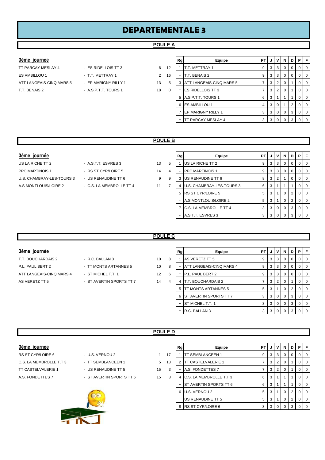# **DEPARTEMENTALE 3**

### **POULE A**

- 
- 
- **3ème journée Rg Equipe PT J V N D P F** TT PARCAY MESLAY 4 - ES RIDELLOIS TT 3 6 12 1 T.T. METTRAY 1 9 3 3 0 0 0 0 0 0 ES AMBILLOU 1 - T.T. METTRAY 1 2 16 - T.T. BENAIS 2 9 3 3 0 0 0 0 0 ATT LANGEAIS-CINQ MARS 5 - EP MARIGNY RILLY 1 13 5 3 ATT LANGEAIS-CINQ MARS 5 7 3 2 0 1 0 0 T.T. BENAIS 2 - A.S.P.T.T. TOURS 1 18 0 - ES RIDELLOIS TT 3 7 3 2 0 1 0 0 5 A.S.P.T.T. TOURS 1 6 3 1 1 1 0 0 6 ES AMBILLOU 1 4 3 0 1 2 0 0 7 EP MARIGNY RILLY 1 3 3 0 0 3 0 0 - TT PARCAY MESLAY 4 3 3 0 0 3 0 0

### **POULE B**

### **3ème journée**

- PPC MARTINOIS 1 RS ST CYR/LOIRE 5 14 U.S. CHAMBRAY-LES-TOURS 3 - US RENAUDINE TT 6 9 A.S MONTLOUIS/LOIRE 2 - C.S. LA MEMBROLLE TT 4 11
- US LA RICHE TT 2 A.S.T.T. ESVRES 3 13

| Rg | Equipe                    | PT                                                                                               | J | v        | N        | D | Р        | F        |
|----|---------------------------|--------------------------------------------------------------------------------------------------|---|----------|----------|---|----------|----------|
|    | US LA RICHE TT 2          | 9                                                                                                | 3 | 3        | $\Omega$ | 0 | 0        | 0        |
|    |                           | 9                                                                                                | 3 | 3        | $\Omega$ | 0 | $\Omega$ | $\Omega$ |
| 3  | US RENAUDINE TT 6         | 8                                                                                                | 3 | 2        | 1        | 0 | $\Omega$ | $\Omega$ |
| 4  | U.S. CHAMBRAY-LES-TOURS 3 | 6                                                                                                | 3 | 1        | 1        | 1 | $\Omega$ | $\Omega$ |
| 5  |                           | 5                                                                                                | 3 | 1        | $\Omega$ | 2 | 0        | $\Omega$ |
|    |                           | 5                                                                                                | 3 | 1        | 0        | 2 | $\Omega$ | $\Omega$ |
| 7  | C.S. LA MEMBROLLE TT 4    | 3                                                                                                | 3 | 0        | 0        | 3 | $\Omega$ | $\Omega$ |
|    |                           | 3                                                                                                | 3 | $\Omega$ | O        | 3 | O        |          |
|    |                           | <b>PPC MARTINOIS 1</b><br><b>RS ST CYR/LOIRE 5</b><br>A.S MONTLOUIS/LOIRE 2<br>A.S.T.T. ESVRES 3 |   |          |          |   |          |          |

### **POULE C**

- T.T. BOUCHARDAIS 2 R.C. BALLAN 3 10 8 P.L. PAUL BERT 2 - TT MONTS ARTANNES 5 3 4 10 8 ATT LANGEAIS-CINQ MARS 4 - ST MICHEL T.T. 1 12 6 AS VERETZ TT 5 - ST AVERTIN SPORTS TT 7 44 4
- 

| 3ème journée             |                          |                   |   | Rg | Equipe                     | <b>PT</b> |     |                | N.             | D I      | PFI       |
|--------------------------|--------------------------|-------------------|---|----|----------------------------|-----------|-----|----------------|----------------|----------|-----------|
| T.T. BOUCHARDAIS 2       | - R.C. BALLAN 3          | 10                | 8 |    | AS VERETZ TT 5             | 9         | 3   | 3              | $\mathbf{0}$   | $\Omega$ | $0$   $0$ |
| P.L. PAUL BERT 2         | - TT MONTS ARTANNES 5    | 10                | 8 |    | ATT LANGEAIS-CINQ MARS 4   | 9         | 3   | 3              | $\Omega$       |          | 0 1 0     |
| ATT LANGEAIS-CINQ MARS 4 | - ST MICHEL T.T. 1       | $12 \overline{ }$ | 6 |    | P.L. PAUL BERT 2           | 9         | З   | 3              | 0              |          | 0 1 0     |
| AS VERETZ TT 5           | - ST AVERTIN SPORTS TT 7 | 14                | 4 | 4  | T.T. BOUCHARDAIS 2         |           | З   |                |                |          | $0$   $0$ |
|                          |                          |                   |   | 5  | <b>IT MONTS ARTANNES 5</b> | 5         |     |                | 0              |          | $0$   $0$ |
|                          |                          |                   |   |    | 6 ST AVERTIN SPORTS TT 7   | 3         | 3   |                | $\mathbf{0}$   | 3        | $0$   $0$ |
|                          |                          |                   |   |    | <b>ST MICHEL T.T. 1</b>    | 3         | 3 I | $\Omega$       | $\Omega$       | 3        | $0$   $0$ |
|                          |                          |                   |   |    | R.C. BALLAN 3              | 3         | 3   | $\overline{0}$ | $\overline{0}$ | 3        | $0$   $0$ |

### **POULE D**

|  | 3ème iournée |
|--|--------------|
|--|--------------|

- 
- -



| 3ème journée            |                          |                |    | Rg | Equipe                       | PT I | .J. | v        | N I          | DIPIF          |   |                |
|-------------------------|--------------------------|----------------|----|----|------------------------------|------|-----|----------|--------------|----------------|---|----------------|
| RS ST CYR/LOIRE 6       | - U.S. VERNOU 2          |                | 17 |    | <b>TT SEMBLANCEEN 1</b>      | 9    | 3   | 3        | 0            |                |   | - 0            |
| C.S. LA MEMBROLLE T.T 3 | - TT SEMBLANCEEN 1       | 5 <sup>5</sup> | 13 |    | 2 <b>ITT CASTELVALERIE 1</b> |      | 3   | 2        | 0            |                |   | $\Omega$       |
| TT CASTELVALERIE 1      | - US RENAUDINE TT 5      | 15             | 3  |    | A.S. FONDETTES 7             |      | 3   | 2        | 0            |                |   |                |
| A.S. FONDETTES 7        | - ST AVERTIN SPORTS TT 6 | 15             | 3  |    | 4 C.S. LA MEMBROLLE T.T 3    | 6    | 3   |          |              |                |   |                |
|                         |                          |                |    |    | - IST AVERTIN SPORTS TT 6    | 6    | 3   |          |              |                |   |                |
|                         | $\bullet \bullet$        |                |    |    | 6 U.S. VERNOU 2              | 5    | 3   |          | $\mathbf{0}$ | 2 <sub>1</sub> | 0 |                |
|                         |                          |                |    |    | US RENAUDINE TT 5            | 5    | -3  |          | $\mathbf{0}$ | 2 <sup>1</sup> |   | $\overline{0}$ |
|                         |                          |                |    |    | 8 RS ST CYR/LOIRE 6          | 3    | 3   | $\Omega$ |              |                |   |                |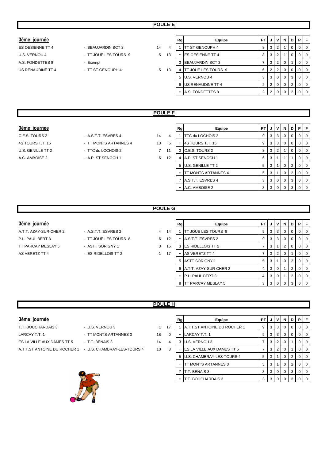- ES OESIENNE TT 4 BEAUJARDIN BCT 3 14 U.S. VERNOU 4 - TT JOUE LES TOURS 9 5 1
	-
	-

| 3ème journée      |                       |    |    | <b>Rg</b> | Equipe                      | PT I         |                | JIV             | <b>N</b>       | D | PIF |                |
|-------------------|-----------------------|----|----|-----------|-----------------------------|--------------|----------------|-----------------|----------------|---|-----|----------------|
| ES OESIENNE TT 4  | - BEAUJARDIN BCT 3    | 14 | 4  |           | <b>ITT ST GENOUPH 4</b>     | 8            | 3 I            | 2               |                |   |     | $\overline{0}$ |
| U.S. VERNOU 4     | - TT JOUE LES TOURS 9 | 5  | 13 | ۰         | <b>IES OESIENNE TT 4</b>    | 8            | 3 <sup>1</sup> |                 |                |   |     | $\overline{0}$ |
| A.S. FONDETTES 8  | - Exempt              |    |    | 3         | <b>BEAUJARDIN BCT 3</b>     |              |                | $3 \mid 2 \mid$ |                |   |     | $\overline{0}$ |
| US RENAUDINE TT 4 | - TT ST GENOUPH 4     | 5  | 13 | 4         | <b>ITT JOUE LES TOURS 9</b> | 6            | 2 <sup>1</sup> | 2 <sup>1</sup>  | $\mathbf 0$    |   |     | $\overline{0}$ |
|                   |                       |    |    |           | 5 U.S. VERNOU 4             | 3            |                | $3 \mid 0$      | $\overline{0}$ | 3 |     | $\overline{0}$ |
|                   |                       |    |    |           | 6 US RENAUDINE TT 4         | $\mathbf{2}$ |                | 210             | $\mathbf 0$    |   |     | $\overline{0}$ |
|                   |                       |    |    | ۰         | A.S. FONDETTES 8            | っ            |                | 2 0             |                |   |     | $\overline{0}$ |

# **POULE F**

### $3$ ème journée

C.E.S. TOURS 2 - A.S.T.T. ESVRES 4 14 4 A.C. AMBOISE 2 - A.P. ST SENOCH 1 6 12

- 4S TOURS T.T. 15  **15 14S TOURS T.T. 15** 5 4S TOURS T.T. 15 U.S. GENILLE TT 2 - TTC du LOCHOIS 2 3 3 3 4 3 3 4 3 3 3 4 3 3 3 4 3 3 4 3 3 4 3 3 4 3 3 4 3 3 4 3 3 4 3 4 3 4 3 4 3 4 3 4 3 4 3 4 3 4 3 4 3 4 3 4 3 4 3 4 3 4 3 4 3 4 3 4 3 4 3 4 3 4 3 4 3 4 3 4 3 4 3 4 3 4 3 4 3 4 3 4 3 4
	-

|                | Rg | Equipe              | PT | J | v              | N        | D        | Р        | F |
|----------------|----|---------------------|----|---|----------------|----------|----------|----------|---|
| 1              |    | TTC du LOCHOIS 2    | 9  | 3 | 3              | $\Omega$ | $\Omega$ | $\Omega$ | 0 |
| 5              |    | 4S TOURS T.T. 15    | 9  | 3 | 3              | $\Omega$ | $\Omega$ | $\Omega$ | O |
|                | 3  | C.E.S. TOURS 2      | 8  | 3 | $\overline{2}$ | 1        | O        | 0        | 0 |
| $\overline{ }$ | 4  | A.P. ST SENOCH 1    | 6  | 3 | 1              | 1        |          | 0        | O |
|                | 5  | U.S. GENILLE TT 2   | 5  | 3 | 1              | $\Omega$ | 2        | $\Omega$ | O |
|                |    | TT MONTS ARTANNES 4 | 5  | 3 | 1              | $\Omega$ | 2        | $\Omega$ | 0 |
|                | 7  | A.S.T.T. ESVRES 4   | 3  | 3 | 0              | $\Omega$ | 3        | $\Omega$ | 0 |
|                |    | A.C. AMBOISE 2      | 3  | 3 | ი              | ŋ        | 3        |          |   |

# **POULE G**

### $3$ ème journée

- P.L. PAUL BERT 3 TT JOUE LES TOURS 8 6 12 TT PARCAY MESLAY 5 - ASTT SORIGNY 1 3 15
- A.T.T. AZAY-SUR-CHER 2 A.S.T.T. ESVRES 2 4 1-
	-
	-
- AS VERETZ TT 4  $-$  ES RIDELLOIS TT 2 1 17

|        | Equipe                   | PT | J | ν              | N | D | Р        | F        |
|--------|--------------------------|----|---|----------------|---|---|----------|----------|
| Rg     |                          |    |   |                |   |   |          |          |
| 4      | TT JOUE LES TOURS 8      | 9  | 3 | 3              | 0 | O | 0        | $\Omega$ |
| 2      | A.S.T.T. ESVRES 2        | 9  | 3 | 3              | 0 | O | $\Omega$ | 0        |
| 5<br>3 | <b>ES RIDELLOIS TT 2</b> | 7  | 3 |                | 2 | O | $\Omega$ | 0        |
| 7      | AS VERETZ TT 4           | 7  | 3 | $\overline{2}$ | 0 |   | $\Omega$ | 0        |
| 5      | <b>ASTT SORIGNY 1</b>    | 5  | 3 |                | 0 | 2 | $\Omega$ | 0        |
| 6      | A.T.T. AZAY-SUR-CHER 2   | 4  | 3 | $\Omega$       | 1 | 2 | $\Omega$ | $\Omega$ |
|        | P.L. PAUL BERT 3         | 4  | 3 | $\Omega$       | 1 | 2 | $\Omega$ | 0        |
| 8      | TT PARCAY MESLAY 5       | 3  | 3 | 0              | O | 3 |          | $\Omega$ |

### **POULE H**

### $3$ ème journée

- T.T. BOUCHARDAIS 3 U.S. VERNOU 3 1 17 1 A.T.T.ST ANTOINE DU ROCHER 1 9 3 3 0 0 0 0 LARCAY T.T. 1 <sup>-</sup> TT MONTS ARTANNES 3 18 ES LA VILLE AUX DAMES TT 5 - T.T. BENAIS 3 14 A.T.T.ST ANTOINE DU ROCHER 1 - U.S. CHAMBRAY-LES-TOURS 4 10
- 

| Rg | Equipe                       | PT | J | v | N        | D | Р | F        |
|----|------------------------------|----|---|---|----------|---|---|----------|
|    | A.T.T.ST ANTOINE DU ROCHER 1 | 9  | 3 | 3 | $\Omega$ | 0 | 0 | $\Omega$ |
| -  | LARCAY T.T. 1                | 9  | 3 | 3 | $\Omega$ | 0 | 0 | $\Omega$ |
| 3  | U.S. VERNOU 3                | 7  | 3 | 2 | $\Omega$ | 1 | 0 | $\Omega$ |
|    | ES LA VILLE AUX DAMES TT 5   | 7  | 3 | 2 | $\Omega$ | 1 | 0 | $\Omega$ |
| 5  | U.S. CHAMBRAY-LES-TOURS 4    | 5  | 3 | 1 | $\Omega$ | 2 | 0 | $\Omega$ |
|    | TT MONTS ARTANNES 3          | 5  | 3 | 1 | $\Omega$ | 2 | 0 | $\Omega$ |
| 7  | T.T. BENAIS 3                | 3  | 3 | 0 | 0        | 3 | 0 | $\Omega$ |
|    | T.T. BOUCHARDAIS 3           | 3  | 3 | 0 | 0        | 3 | 0 | $\Omega$ |

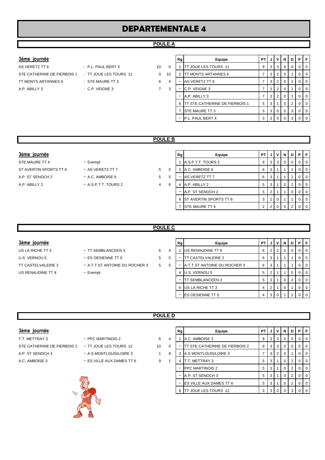# **DEPARTEMENTALE 4**

### **POULE A**

### $3$ ème journée

STE CATHERINE DE FIERBOIS 1 - TT JOUE LES TOURS 11 0 1 TT MONTS ARTANNES 6 - STE MAURE TT 3 6 A.P. ABILLY 3 - C.P. VEIGNE 3 7

AS VERETZ TT 6  $-$  P.L. PAUL BERT 4 3 0 10

|                | Rg | Equipe                         | PТ | J | ν              | N        | D              | Р        | F        |
|----------------|----|--------------------------------|----|---|----------------|----------|----------------|----------|----------|
| $\Omega$       |    | TT JOUE LES TOURS 11           | 9  | 3 | 3              | $\Omega$ | 0              | $\Omega$ | $\Omega$ |
| $\Omega$       | 2  | TT MONTS ARTANNES 6            | 7  | 3 | $\overline{2}$ | $\Omega$ | 1              | $\Omega$ | $\Omega$ |
| $\overline{4}$ |    | AS VERETZ TT 6                 | 7  | 3 | 2              | $\Omega$ | 1              | 0        | $\Omega$ |
| 3              |    | C.P. VEIGNE 3                  | 7  | 3 | $\overline{2}$ | $\Omega$ | 1              | $\Omega$ | $\Omega$ |
|                |    | A.P. ABILLY 3                  | 7  | 3 | 2              | $\Omega$ | 1              | $\Omega$ | $\Omega$ |
|                | 6  | TT STE CATHERINE DE FIERBOIS 1 | 5  | 3 |                | $\Omega$ | $\overline{2}$ | $\Omega$ | $\Omega$ |
|                |    | STE MAURE TT 3                 | 3  | 3 | $\Omega$       | $\Omega$ | 3              | $\Omega$ | $\Omega$ |
|                |    | P.L. PAUL BERT 4               | 3  | 3 | 0              | 0        | 3              | 0        | $\Omega$ |

### **POULE B**

- 
- -

| 3ème journée           |                        |   |   | Rg | Equipe                   | <b>PT</b> |   |   | N.       | D              | PFI              |
|------------------------|------------------------|---|---|----|--------------------------|-----------|---|---|----------|----------------|------------------|
| STE MAURE TT 4         | - Exempt               |   |   |    | A.S.P.T.T. TOURS 2       | 9         | 3 | 3 | 0        |                | $\overline{1}$ 0 |
| ST AVERTIN SPORTS TT 8 | - AS VERETZ TT 7       | 5 | 5 |    | 2 A.C. AMBOISE 6         | 6         |   |   |          |                | 0 1 0            |
| A.P. ST SENOCH 2       | - A.C. AMBOISE 6       | 5 | 5 |    | AS VERETZ TT 7           | 6         |   |   |          |                | $\overline{101}$ |
| A.P. ABILLY 2          | $-$ A.S.P.T.T. TOURS 2 | 4 | 6 | 4  | A.P. ABILLY 2            | 5         |   |   | $\Omega$ | 2 <sub>1</sub> | $0$   $0$        |
|                        |                        |   |   |    | A.P. ST SENOCH 2         | 5         |   |   |          |                | $0$   $0$        |
|                        |                        |   |   |    | 6 ST AVERTIN SPORTS TT 8 | 3         |   |   |          |                | $\overline{101}$ |
|                        |                        |   |   |    | <b>STE MAURE TT 4</b>    | ◠         |   |   |          |                | $\overline{1}$ 0 |

### **POULE C**

# $3$ ème journée

US LA RICHE TT 3 <sup>-</sup> TT SEMBLANCEEN 3 6 4 US RENAUDINE TT 8 - Exempt

- U.S. VERNOU 5 ES OESIENNE TT 5 5 5 TT CASTELVALERIE 2 6 3 1 1 1 0 0 TT CASTELVALERIE 2 - A.T.T.ST ANTOINE DU ROCHER 3 5 5
	-

| Rg | Equipe                       | PT |   | ν | N | D | Р        | F        |
|----|------------------------------|----|---|---|---|---|----------|----------|
|    | US RENAUDINE TT 8            | 6  | 2 | 2 | 0 | 0 | O        | $\Omega$ |
|    | <b>TT CASTELVALERIE 2</b>    | 6  | 3 |   | 1 |   | 0        | $\Omega$ |
|    | A.T.T.ST ANTOINE DU ROCHER 3 | 6  | 3 |   |   |   | O        | $\Omega$ |
| 4  | U.S. VERNOU 5                | 5  | 2 |   |   | 0 | 0        | $\Omega$ |
|    | <b>TT SEMBLANCEEN 3</b>      | 5  | 3 |   | 0 | 2 | $\Omega$ | $\Omega$ |
| 6  | US LA RICHE TT 3             | 4  | 2 |   | 0 |   | O        | $\Omega$ |
|    | <b>ES OESIENNE TT 5</b>      | 4  | 3 | U |   | ◠ |          |          |

## **POULE D**

| 3ème |         |  |
|------|---------|--|
|      | lournee |  |
|      |         |  |

- STE CATHERINE DE FIERBOIS 2 TT JOUE LES TOURS 12
- 
- 
- T.T. METTRAY 3  **PPC MARTINOIS 2** 6
	-
- A.P. ST SENOCH 3 A.S MONTLOUIS/LOIRE 3
- A.C. AMBOISE 3 ES VILLE AUX DAMES TT 6 9



| 10 | 0 |   |   |
|----|---|---|---|
|    | 9 | 3 | A |
|    |   | - | т |

| 3ème journée                |                           |    |          |                      | Equipe                          | <b>PT</b> |   | $\mathsf{v}$ | N I          | D I              | PFI              |
|-----------------------------|---------------------------|----|----------|----------------------|---------------------------------|-----------|---|--------------|--------------|------------------|------------------|
| T.T. METTRAY 3              | - PPC MARTINOIS 2         | 6  | 4        |                      | A.C. AMBOISE 3                  | 9         | 3 | 3            | $\mathbf{0}$ |                  | $0$   $0$        |
| STE CATHERINE DE FIERBOIS 2 | - TT JOUE LES TOURS 12    | 10 | $\Omega$ |                      | TT STE CATHERINE DE FIERBOIS 2  | 9         | చ | 3            | 0            |                  | $0$   $0$        |
| A.P. ST SENOCH 3            | - A.S MONTLOUIS/LOIRE 3   |    | 9        |                      | A.S MONTLOUIS/LOIRE 3           |           | З |              | $\Omega$     |                  | $\overline{1}$ 0 |
| A.C. AMBOISE 3              | - ES VILLE AUX DAMES TT 6 | 9  |          |                      | T.T. METTRAY 3                  | 5         |   |              | 0            |                  | $0$   $0$        |
|                             |                           |    |          |                      | <b>IPPC MARTINOIS 2</b>         | 5         | З |              | 0            |                  | $0$   $0$        |
|                             |                           |    |          |                      | A.P. ST SENOCH 3                | 5         |   |              | 0            |                  | $0$   $0$        |
|                             |                           |    |          |                      | <b>IES VILLE AUX DAMES TT 6</b> | 5         |   |              | 0            |                  | $0 \mid 0$       |
| $\sqrt{2}$                  |                           |    | 8        | TT JOUE LES TOURS 12 | 3                               |           |   |              |              | $\overline{1}$ 0 |                  |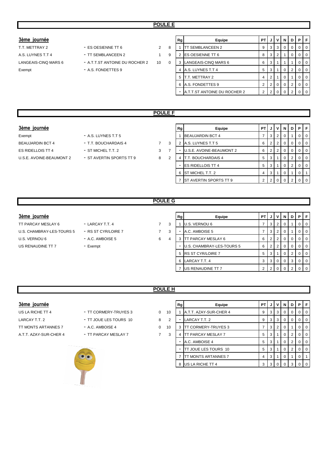### $3$ ème journée

A.S. LUYNES T.T 4 **- TT SEMBLANCEEN 2** 1 9 LANGEAIS-CINQ MARS 6 - A.T.T.ST ANTOINE DU ROCHER 2 10 0 Exempt - A.S. FONDETTES 9

- T.T. METTRAY 2  **ES OESIENNE TT 6** 2 8
	- -
	-

| Rg | Equipe                              | PT             |                | v | N | D              | Р |  |
|----|-------------------------------------|----------------|----------------|---|---|----------------|---|--|
|    | <b>TT SEMBLANCEEN 2</b>             | 9              | 3              | 3 | O | 0              | Ω |  |
| 2  | ES OESIENNE TT 6                    | 8              | 3              | 2 |   | 0              | Ω |  |
| 3  | LANGEAIS-CINQ MARS 6                | 6              | 3              |   |   |                | Ω |  |
| 4  | A.S. LUYNES T.T 4                   | 5              | 3              |   | O | 2              | Ω |  |
| 5  | T.T. METTRAY 2                      | 4              | $\overline{2}$ |   | 0 |                | 0 |  |
| 6  | A.S. FONDETTES 9                    | 2              | $\overline{2}$ | 0 | 0 | $\overline{2}$ | Ω |  |
|    | <b>A.T.T.ST ANTOINE DU ROCHER 2</b> | $\mathfrak{p}$ | ◠              |   |   | າ              |   |  |

## **POULE F**

### $3$ ème journée

- Exempt A.S. LUYNES T.T 5 U.S.E. AVOINE-BEAUMONT 2 - ST AVERTIN SPORTS TT 9 8 2
- BEAUJARDIN BCT 4 T.T. BOUCHARDAIS 4 7 3 ES RIDELLOIS TT 4 - ST MICHEL T.T. 2 3 7
	-

| Rg | Equipe                   | PТ             | J              | v              | N | D | P        | F        |
|----|--------------------------|----------------|----------------|----------------|---|---|----------|----------|
|    | <b>BEAUJARDIN BCT 4</b>  | 7              | 3              | $\overline{2}$ | 0 | 1 | 0        | 0        |
| 2  | A.S. LUYNES T.T 5        | 6              | 2              | 2              | 0 | 0 | 0        | 0        |
|    | U.S.E. AVOINE-BEAUMONT 2 | 6              | 2              | 2              | 0 | 0 | $\Omega$ | 0        |
| 4  | T.T. BOUCHARDAIS 4       | 5              | 3              | 1              | 0 | 2 | $\Omega$ | $\Omega$ |
| -  | <b>ES RIDELLOIS TT 4</b> | 5              | 3              | 1              | 0 | 2 | $\Omega$ | 0        |
| 6  | ST MICHEL T.T. 2         | 4              | 3              | 1              | 0 | 1 | 0        |          |
|    | ST AVERTIN SPORTS TT 9   | $\overline{2}$ | $\overline{2}$ | O              | O | 2 | ი        |          |
|    |                          |                |                |                |   |   |          |          |

### **POULE G**

- TT PARCAY MESLAY 6 LARCAY T.T. 4 7 3 U.S. CHAMBRAY-LES-TOURS 5 - RS ST CYR/LOIRE 7 7 3 U.S. VERNOU 6 **- A.C. AMBOISE 5** 6 4 US RENAUDINE TT 7 - Exempt
	- -
	-

| 3ème journée              |                     |   |   | Rg | Equipe                    | PT. |                | JIVI            | N I | D | PF             |                |
|---------------------------|---------------------|---|---|----|---------------------------|-----|----------------|-----------------|-----|---|----------------|----------------|
| TT PARCAY MESLAY 6        | - LARCAY T.T. 4     |   | 3 |    | U.S. VERNOU 6             |     |                | $3 \mid 2 \mid$ | - 0 |   |                | $01$ 0         |
| U.S. CHAMBRAY-LES-TOURS 5 | - RS ST CYR/LOIRE 7 |   | 3 |    | A.C. AMBOISE 5            |     | 3 <sup>1</sup> |                 | -0  |   | $\overline{0}$ | $\overline{0}$ |
| U.S. VERNOU 6             | $-$ A.C. AMBOISE 5  | 6 | 4 |    | TT PARCAY MESLAY 6        | 6   | 2 <sub>1</sub> |                 |     | 0 |                | $01$ 0         |
| US RENAUDINE TT 7         | - Exempt            |   |   |    | U.S. CHAMBRAY-LES-TOURS 5 | 6   | 2 <sub>1</sub> |                 | 0   | 0 |                | <b>0</b>       |
|                           |                     |   |   |    | 5 RS ST CYR/LOIRE 7       | 5   | 3 <sup>1</sup> |                 |     | 2 |                | $01$ 0         |
|                           |                     |   |   |    | 6 LARCAY T.T. 4           |     |                | 3 0 0           |     | 3 |                | $01$ 0         |
|                           |                     |   |   |    | US RENAUDINE TT 7         |     | 2 <sup>1</sup> |                 |     | 2 |                | $01$ 0         |

## **POULE H**

### $3$ ème journée

US LA RICHE TT 4 - TT CORMERY-TRUYES 3 0 LARCAY T.T. 2 **- TT JOUE LES TOURS 10** 8 TT MONTS ARTANNES 7 - A.C. AMBOISE 4 0 A.T.T. AZAY-SUR-CHER 4 - TT PARCAY MESLAY 7 3 4 7

- 
- 



| Rg | Equipe                 | PТ | J | ٧ | N        | D | Р        | F |
|----|------------------------|----|---|---|----------|---|----------|---|
|    | A.T.T. AZAY-SUR-CHER 4 | 9  | 3 | 3 | $\Omega$ | 0 | 0        | 0 |
|    | LARCAY T.T. 2          | 9  | 3 | 3 | $\Omega$ | 0 | $\Omega$ | 0 |
| 3  | TT CORMERY-TRUYES 3    | 7  | 3 | 2 | $\Omega$ | 1 | $\Omega$ | 0 |
| 4  | TT PARCAY MESLAY 7     | 5  | 3 | 1 | $\Omega$ | 2 | $\Omega$ | O |
| ۰  | A.C. AMBOISE 4         | 5  | 3 | 1 | $\Omega$ | 2 | $\Omega$ | 0 |
|    | TT JOUE LES TOURS 10   | 5  | 3 | 1 | $\Omega$ | 2 | $\Omega$ | 0 |
| 7  | TT MONTS ARTANNES 7    | 4  | 3 | 1 | 0        | 1 | $\Omega$ | 1 |
| 8  | US LA RICHE TT 4       | 3  | 3 | 0 | O        | 3 | ŋ        |   |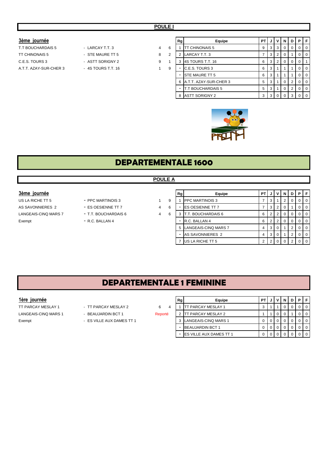### **3ème journée**

| T T BOUCHARDAIS 5      |
|------------------------|
| <b>TT CHINONAIS 5</b>  |
| C.E.S. TOURS 3         |
| A.T.T. AZAY-SUR-CHER 3 |

| LARCAY T.T. 3          |
|------------------------|
| $\cdot$ STE MAURE TT 5 |
| ASTT SORIGNY 2         |
| 4S TOURS T.T. 16       |
|                        |

| 3ème journée           |                    |   |   | Rg | Equipe                   | PT I |     |                 | JVN | .D. |                | PF             |
|------------------------|--------------------|---|---|----|--------------------------|------|-----|-----------------|-----|-----|----------------|----------------|
| T.T BOUCHARDAIS 5      | - LARCAY T.T. 3    | 4 | 6 |    | <b>TT CHINONAIS 5</b>    | 9    |     | $3 \mid 3 \mid$ |     |     |                | $01$ 0         |
| TT CHINONAIS 5         | - STE MAURE TT 5   | 8 | 2 |    | LARCAY T.T. 3            |      | 3 I |                 |     |     | $\overline{0}$ | $\overline{0}$ |
| C.E.S. TOURS 3         | - ASTT SORIGNY 2   | 9 |   |    | 4S TOURS T.T. 16         | 6    |     | $3 \mid 2 \mid$ |     | 0   | $\mathbf{0}$   |                |
| A.T.T. AZAY-SUR-CHER 3 | - 4S TOURS T.T. 16 |   | 9 |    | C.E.S. TOURS 3           | 6    | 3   |                 |     |     | $\overline{0}$ | $\overline{0}$ |
|                        |                    |   |   |    | <b>STE MAURE TT 5</b>    | 6    | 3   |                 |     |     | $\overline{0}$ | $\overline{0}$ |
|                        |                    |   |   |    | 6 A.T.T. AZAY-SUR-CHER 3 | 5    | 3   |                 |     | 2   |                | $01$ 0         |
|                        |                    |   |   |    | <b>T.T BOUCHARDAIS 5</b> | 5    | 3   |                 |     | 2   |                | $01$ 0         |
|                        |                    |   |   |    | <b>ASTT SORIGNY 2</b>    |      | 3 I | $\Omega$        |     | 3   |                | $01$ 0         |



# **DEPARTEMENTALE 1600**

### **POULE A**

- 
- 
- 

| 3ème journée         |                      |   |   | Rg | Equipe                   | PT I | J              | V <sub>1</sub> | N | D I         | PF             |
|----------------------|----------------------|---|---|----|--------------------------|------|----------------|----------------|---|-------------|----------------|
| US LA RICHE TT 5     | - PPC MARTINOIS 3    |   | 9 |    | <b>PPC MARTINOIS 3</b>   |      | 3              |                |   | 0           | $0$   0        |
| AS SAVONNIERES 2     | - ES OESIENNE TT 7   | 4 | 6 |    | <b>ES OESIENNE TT 7</b>  |      | 3              |                |   |             | I 0            |
| LANGEAIS-CINQ MARS 7 | - T.T. BOUCHARDAIS 6 | 4 | 6 |    | T.T. BOUCHARDAIS 6       | 6    | 21             |                |   | $\Omega$    | $01$ 0         |
| Exempt               | $-$ R.C. BALLAN 4    |   |   | -  | <b>R.C. BALLAN 4</b>     |      | 2.1            |                |   | $0^{\circ}$ | $01$ 0         |
|                      |                      |   |   |    | 5 LANGEAIS-CINQ MARS 7   | 4    | 3 <sup>1</sup> |                |   |             | $\overline{0}$ |
|                      |                      |   |   |    | AS SAVONNIERES 2         |      | -3             | - 0            |   |             | $01$ 0         |
|                      |                      |   |   |    | <b>IUS LA RICHE TT 5</b> |      |                |                |   |             | $01$ 0         |

# **DEPARTEMENTALE 1 FEMININE**

- 
- 
- -

| 1ère journée         |                           |         | Rg | Equipe                         | PT. |                  |  |  | PF             |
|----------------------|---------------------------|---------|----|--------------------------------|-----|------------------|--|--|----------------|
| TT PARCAY MESLAY 1   | - TT PARCAY MESLAY 2      | 6       |    | IT PARCAY MESLAY 1             |     |                  |  |  | - 0            |
| LANGEAIS-CINQ MARS 1 | - BEAUJARDIN BCT 1        | Reporté |    | <b>ITT PARCAY MESLAY 2</b>     |     |                  |  |  | $\overline{0}$ |
| Exempt               | - ES VILLE AUX DAMES TT 1 |         |    | LANGEAIS-CINQ MARS 1           |     | $\overline{0}$ 1 |  |  | 0 1 0          |
|                      |                           |         |    | <b>BEAUJARDIN BCT 1</b>        |     |                  |  |  | i 0            |
|                      |                           |         |    | <b>ES VILLE AUX DAMES TT 1</b> |     | $\overline{0}$   |  |  | $\overline{0}$ |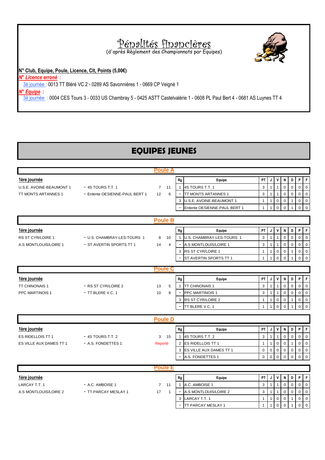# Pénalités financières

(d'après Règlement des Championnats par Equipes)

**N° Club, Equipe, Poule, Licence, Clt, Points (5,00€)**

*N° Licence erroné :* 

3è journée : 0013 TT Bléré VC 2 - 0289 AS Savonnières 1 - 0669 CP Veigné 1

*N° Equipe :* 

3è journée : 0004 CES Tours 3 - 0033 US Chambray 5 - 0425 ASTT Castelvalérie 1 - 0608 PL Paul Bert 4 - 0681 AS Luynes TT 4

# **EQUIPES JEUNES**

|                          |                                | <b>Poule A</b>  |                |                          |                              |                         |                         |                         |               |               |                         |                         |
|--------------------------|--------------------------------|-----------------|----------------|--------------------------|------------------------------|-------------------------|-------------------------|-------------------------|---------------|---------------|-------------------------|-------------------------|
| 1ère journée             |                                |                 |                | Rg                       | Equipe                       | PT                      | J                       | V                       | N             | D             | P                       | F                       |
| U.S.E. AVOINE-BEAUMONT 1 | - 4S TOURS T.T. 1              | $7 \quad 11$    |                | $\mathbf{1}$             | 4S TOURS T.T. 1              | 3                       | $\mathbf{1}$            | $\mathbf{1}$            | $\Omega$      | $\Omega$      | $\mathbf 0$             | $\mathbf 0$             |
| TT MONTS ARTANNES 1      | - Entente OESIENNE-PAUL BERT 1 | 12              | 6              | $\overline{\phantom{a}}$ | <b>TT MONTS ARTANNES 1</b>   | 3                       | 1                       | $\mathbf{1}$            | $\Omega$      | $\mathbf 0$   | $\mathbf 0$             | $\mathbf 0$             |
|                          |                                |                 |                | 3                        | U.S.E. AVOINE-BEAUMONT 1     | $\mathbf{1}$            | $\mathbf{1}$            | $\mathbf 0$             | $\mathbf 0$   | 1             | $\mathsf 0$             | $\mathbf 0$             |
|                          |                                |                 |                |                          | Entente OESIENNE-PAUL BERT 1 | $\mathbf{1}$            | $\mathbf{1}$            | $\Omega$                | $\Omega$      | 1             | $\Omega$                | $\Omega$                |
|                          |                                |                 |                |                          |                              |                         |                         |                         |               |               |                         |                         |
|                          |                                | <b>Poule B</b>  |                |                          |                              |                         |                         |                         |               |               |                         |                         |
| 1ère journée             |                                |                 |                | Rg                       | Equipe                       | PT                      | J                       | $\mathsf{v}$            | N             | D             | P                       | IF.                     |
| RS ST CYR/LOIRE 1        | - U.S. CHAMBRAY-LES-TOURS 1    | 8               | 10             | $\mathbf{1}$             | U.S. CHAMBRAY-LES-TOURS 1    | 3                       | 1                       | $\mathbf{1}$            | $\Omega$      | $\mathbf 0$   | $\mathbf 0$             | $\mathbf 0$             |
| A.S MONTLOUIS/LOIRE 1    | - ST AVERTIN SPORTS TT 1       | 14              | $\overline{4}$ |                          | A.S MONTLOUIS/LOIRE 1        | 3                       | $\mathbf{1}$            | $\mathbf{1}$            | $\Omega$      | $\mathbf 0$   | $\mathbf 0$             | $\Omega$                |
|                          |                                |                 |                | 3                        | <b>RS ST CYR/LOIRE 1</b>     | 1                       | $\mathbf{1}$            | $\mathbf 0$             | 0             | 1             | $\mathbf 0$             | $\mathbf 0$             |
|                          |                                |                 |                |                          | ST AVERTIN SPORTS TT 1       | $\mathbf{1}$            | $\mathbf{1}$            | $\mathbf 0$             | $\Omega$      | $\mathbf{1}$  | $\mathbf 0$             | $\Omega$                |
|                          |                                | <b>Poule C</b>  |                |                          |                              |                         |                         |                         |               |               |                         |                         |
|                          |                                |                 |                |                          |                              |                         |                         |                         |               |               |                         |                         |
| 1ère journée             |                                |                 |                | Rg                       | Equipe                       | PT                      | J                       | $\mathsf{v}$            | N             | D             | P                       | F                       |
| TT CHINONAIS 1           | - RS ST CYR/LOIRE 2            | 13              | 5              | $\mathbf{1}$             | <b>TT CHINONAIS 1</b>        | 3                       | $\mathbf{1}$            | $\overline{1}$          | 0             | $\mathbf 0$   | $\mathbf 0$             | $\Omega$                |
| PPC MARTINOIS 1          | - TT BLERE V.C. 1              | 10              | 8              |                          | PPC MARTINOIS 1              | 3                       | 1                       | $\mathbf{1}$            | 0             | $\mathbf 0$   | $\mathbf 0$             | $\mathbf 0$             |
|                          |                                |                 |                | 3                        | RS ST CYR/LOIRE 2            | $\mathbf{1}$            | $\mathbf{1}$            | $\mathbf 0$             | $\Omega$      | 1             | $\Omega$                | $\Omega$                |
|                          |                                |                 |                |                          | TT BLERE V.C. 1              | $\mathbf{1}$            | $\mathbf{1}$            | $\mathbf 0$             | $\Omega$      | 1             | $\mathbf 0$             | $\Omega$                |
|                          |                                | <b>Poule D</b>  |                |                          |                              |                         |                         |                         |               |               |                         |                         |
|                          |                                |                 |                |                          |                              |                         |                         |                         |               |               |                         |                         |
| 1ère journée             |                                |                 |                | Rg                       | Equipe                       | PT                      | J                       | V                       | N             | D             | P                       | l F                     |
| <b>ES RIDELLOIS TT 1</b> | $-4S$ TOURS T.T. 2             | 3 <sub>15</sub> |                | $\mathbf{1}$             | 4S TOURS T.T. 2              | 3                       | $\mathbf{1}$            | $\overline{1}$          | $\Omega$      | 0             | $\mathbf 0$             | $\mathbf 0$             |
| ES VILLE AUX DAMES TT 1  | - A.S. FONDETTES 1             | Reporté         |                | $\overline{2}$           | <b>ES RIDELLOIS TT 1</b>     | $\mathbf{1}$            | $\mathbf{1}$            | $\mathbf 0$             | $\mathbf 0$   | $\mathbf{1}$  | $\mathbf 0$             | $\mathbf 0$             |
|                          |                                |                 |                | 3                        | ES VILLE AUX DAMES TT 1      | $\mathbf 0$<br>$\Omega$ | $\mathbf 0$<br>$\Omega$ | $\mathbf 0$<br>$\Omega$ | 0<br>$\Omega$ | 0<br>$\Omega$ | $\mathsf 0$<br>$\Omega$ | $\mathbf 0$<br>$\Omega$ |
|                          |                                |                 |                |                          | A.S. FONDETTES 1             |                         |                         |                         |               |               |                         |                         |
|                          |                                | <b>Poule E</b>  |                |                          |                              |                         |                         |                         |               |               |                         |                         |
| 1ère journée             |                                |                 |                | Rg                       | Equipe                       | PT                      | J                       | $\mathsf{v}$            | N             | D             | P                       | $\mathsf{F}$            |
| LARCAY T.T. 1            | - A.C. AMBOISE 1               | $7 \quad 11$    |                | $\mathbf{1}$             | A.C. AMBOISE 1               | 3                       | $\mathbf{1}$            | $\overline{1}$          | 0             | $\mathbf 0$   | $\mathbf 0$             | $\overline{0}$          |
| A.S MONTLOUIS/LOIRE 2    | - TT PARCAY MESLAY 1           | 17              | $\overline{1}$ | $\overline{\phantom{a}}$ | A.S MONTLOUIS/LOIRE 2        | 3                       | $\mathbf{1}$            | $\mathbf{1}$            | $\Omega$      | $\Omega$      | $\mathbf 0$             | $\mathbf 0$             |
|                          |                                |                 |                | 3                        | LARCAY T.T. 1                | $\mathbf{1}$            | $\mathbf{1}$            | $\mathbf 0$             | $\Omega$      | $\mathbf{1}$  | $\mathbf 0$             | $\mathbf 0$             |
|                          |                                |                 |                | $\blacksquare$           | TT PARCAY MESLAY 1           | $\mathbf{1}$            | $\mathbf{1}$            | $\mathbf 0$             | $\mathbf 0$   | $\mathbf{1}$  | $\mathbf 0$             | $\mathbf 0$             |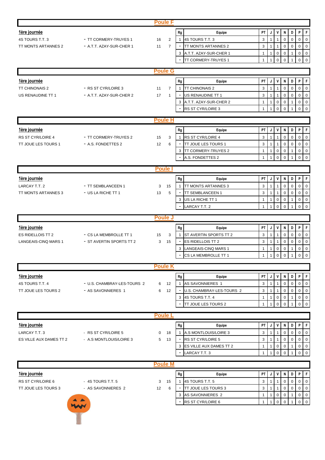|                         |                                                    | <b>Poule F</b>       |                          |                                   |                                                                                                             |
|-------------------------|----------------------------------------------------|----------------------|--------------------------|-----------------------------------|-------------------------------------------------------------------------------------------------------------|
| <u>1ère journée</u>     |                                                    |                      | Rg                       | Equipe                            | PT<br>P<br>F<br>J<br>V<br>N<br>D                                                                            |
| 4S TOURS T.T. 3         | - TT CORMERY-TRUYES 1                              | $\overline{2}$<br>16 | $\mathbf{1}$             | 4S TOURS T.T. 3                   | 3<br>$\mathbf{1}$<br>$\mathbf 0$<br>$\mathbf 0$<br>$\mathbf 0$<br>$\overline{0}$<br>$\overline{1}$          |
| TT MONTS ARTANNES 2     | - A.T.T. AZAY-SUR-CHER 1                           | $\overline{7}$<br>11 | $\overline{\phantom{a}}$ | TT MONTS ARTANNES 2               | 3<br>$\mathbf 0$<br>$\mathbf{1}$<br>$\mathbf 0$<br>$\mathbf 0$<br>$\mathbf 0$<br>1                          |
|                         |                                                    |                      |                          | 3 A.T.T. AZAY-SUR-CHER 1          | $\mathbf 0$<br>$\mathbf 0$<br>$\mathbf 0$<br>$\mathbf{1}$<br>$\mathbf{1}$<br>$\mathbf 0$<br>$\mathbf{1}$    |
|                         |                                                    |                      | $\overline{\phantom{a}}$ | TT CORMERY-TRUYES 1               | $\mathbf 0$<br>$\mathbf 0$<br>$\mathbf 0$<br>$\mathbf 0$<br>$\mathbf{1}$<br>$\mathbf{1}$<br>1               |
|                         |                                                    |                      |                          |                                   |                                                                                                             |
|                         |                                                    | <b>Poule G</b>       |                          |                                   |                                                                                                             |
| 1ère journée            |                                                    |                      | Rg                       | Equipe                            | PT<br>V<br>F<br>J<br>N<br>D<br>P                                                                            |
| <b>TT CHINONAIS 2</b>   | - RS ST CYR/LOIRE 3                                | $\overline{7}$<br>11 | $\mathbf{1}$             | <b>TT CHINONAIS 2</b>             | 3<br>$\mathbf{1}$<br>$\overline{1}$<br>$\mathbf 0$<br>$\mathbf 0$<br>$\mathbf 0$<br>$\overline{0}$          |
| US RENAUDINE TT 1       | - A.T.T. AZAY-SUR-CHER 2                           | 17<br>$\mathbf{1}$   |                          | US RENAUDINE TT 1                 | 3<br>$\mathsf 0$<br>$\mathbf 0$<br>$\mathbf 0$<br>$\overline{0}$<br>$\mathbf{1}$<br>$\overline{1}$          |
|                         |                                                    |                      | 3                        | A.T.T. AZAY-SUR-CHER 2            | $\mathbf 0$<br>$\mathsf 0$<br>$\mathbf 0$<br>$\mathbf 0$<br>$\mathbf{1}$<br>1<br>$\mathbf{1}$               |
|                         |                                                    |                      | $\overline{\phantom{a}}$ | RS ST CYR/LOIRE 3                 | $\mathbf 0$<br>$\mathbf 0$<br>$\Omega$<br>$\mathbf 0$<br>$\mathbf{1}$<br>$\mathbf{1}$<br>$\mathbf{1}$       |
|                         |                                                    |                      |                          |                                   |                                                                                                             |
|                         |                                                    | <b>Poule H</b>       |                          |                                   |                                                                                                             |
| <u>1ère journée</u>     |                                                    |                      | Rg                       | Equipe                            | F<br>PT<br>J<br>V<br>D<br>P<br>N                                                                            |
| RS ST CYR/LOIRE 4       | - TT CORMERY-TRUYES 2                              | 15<br>3              | $\mathbf{1}$             | <b>RS ST CYR/LOIRE 4</b>          | 3<br>$\mathsf 0$<br>$\mathbf{1}$<br>$\mathbf 0$<br>$\mathbf 0$<br>$\mathbf 0$<br>$\mathbf{1}$               |
| TT JOUE LES TOURS 1     | - A.S. FONDETTES 2                                 | 12<br>6              | $\overline{\phantom{a}}$ | TT JOUE LES TOURS 1               | 3<br>$\mathbf{1}$<br>$\mathbf 0$<br>$\mathbf 0$<br>$\overline{0}$<br>$\overline{1}$<br>0                    |
|                         |                                                    |                      | 3                        | <b>TT CORMERY-TRUYES 2</b>        | $\pmb{0}$<br>$\overline{0}$<br>$\mathbf{1}$<br>0<br>$\mathbf 0$<br>1<br>$\mathbf{1}$                        |
|                         |                                                    |                      |                          | A.S. FONDETTES 2                  | $\mathbf 0$<br>$\mathbf 0$<br>$\Omega$<br>$\mathbf 0$<br>$\mathbf{1}$<br>$\mathbf{1}$<br>$\overline{1}$     |
|                         |                                                    |                      |                          |                                   |                                                                                                             |
|                         |                                                    | <b>Poule</b>         |                          |                                   |                                                                                                             |
| <u>1ère journée</u>     |                                                    |                      | Rg                       | Equipe                            | F<br>PT<br>V<br>${\sf N}$<br>D<br>P<br>J                                                                    |
| LARCAY T.T. 2           | - TT SEMBLANCEEN 1                                 | 15<br>3              | $\mathbf{1}$             | TT MONTS ARTANNES 3               | 3<br>$\mathbf 0$<br>$\mathbf 0$<br>$\mathbf 0$<br>$\mathbf{1}$<br>$\Omega$<br>1                             |
| TT MONTS ARTANNES 3     | - US LA RICHE TT 1                                 | 5<br>13              |                          | TT SEMBLANCEEN 1                  | 3<br>$\mathbf 0$<br>$\mathbf 0$<br>$\mathbf 0$<br>1<br>$\overline{1}$<br>0                                  |
|                         |                                                    |                      |                          | 3 US LA RICHE TT 1                | $\mathbf 0$<br>$\mathbf 0$<br>$\overline{0}$<br>1<br>1<br>0<br>$\mathbf{1}$                                 |
|                         |                                                    |                      |                          | <b>LARCAY T.T. 2</b>              | $\mathbf{1}$<br>$\mathbf 0$<br>$\mathbf 0$<br>$\mathbf 0$<br>$\overline{0}$<br>$\mathbf{1}$<br>$\mathbf{1}$ |
|                         |                                                    | <b>Poule J</b>       |                          |                                   |                                                                                                             |
|                         |                                                    |                      |                          |                                   |                                                                                                             |
| <u>1ère journée</u>     |                                                    |                      | Rg                       | Equipe                            | PT<br>V<br>${\sf N}$<br>D<br>P<br>F<br>J                                                                    |
| ES RIDELLOIS TT 2       | - CS LA MEMBROLLE TT 1<br>- ST AVERTIN SPORTS TT 2 | 15<br>3              | $\mathbf{1}$             | ST AVERTIN SPORTS TT 2            | 3<br>$\mathbf 0$<br>$\mathbf 0$<br>$\mathbf{1}$<br>0<br>$\mathbf 0$<br>1                                    |
| LANGEAIS-CINQ MARS 1    |                                                    | 3<br>15              | $\blacksquare$           | ES RIDELLOIS TT 2                 | 3<br>$\mathbf 0$<br>$\mathbf 0$<br>$\mathbf{1}$<br>0<br>$\mathbf 0$<br>1                                    |
|                         |                                                    |                      | 3                        | LANGEAIS-CINQ MARS 1              | $\mathbf 0$<br>1<br>0<br>0<br>0<br>1<br>-1                                                                  |
|                         |                                                    |                      |                          | CS LA MEMBROLLE TT 1              | $\overline{0}$<br>$\mathbf 0$<br>$\mathbf 0$<br>$\mathbf 0$<br>$\mathbf{1}$<br>$\mathbf{1}$<br>$\mathbf{1}$ |
|                         |                                                    | <b>Poule K</b>       |                          |                                   |                                                                                                             |
|                         |                                                    |                      |                          |                                   |                                                                                                             |
| 1ère journée            |                                                    |                      | Rg                       | Equipe                            | PT.<br>$P$ $F$<br>$\vert$ J $\vert$<br>V<br>N<br>D                                                          |
| 4S TOURS T.T. 4         | - U.S. CHAMBRAY-LES-TOURS 2                        | 6<br>12              |                          | 1 AS SAVONNIERES 1                | 3<br>$\mathbf 0$<br>$\overline{0}$<br>$\mathbf{1}$<br>$\mathbf{1}$<br>$\mathbf 0$<br>$\mathbf 0$            |
| TT JOUE LES TOURS 2     | - AS SAVONNIERES 1                                 | 12<br>6              |                          | U.S. CHAMBRAY-LES-TOURS 2         | 3<br>$\mathbf 0$<br>$\mathbf{1}$<br>0<br>$\mathbf 0$<br>$\mathbf 0$<br>1                                    |
|                         |                                                    |                      |                          | 3 4S TOURS T.T. 4                 | $\mathbf 0$<br>$\mathbf 0$<br>1<br>0<br>0<br>1                                                              |
|                         |                                                    |                      |                          | TT JOUE LES TOURS 2               | $\mathbf 0$<br>$\mathbf 0$<br>$\mathbf 0$<br>$\mathbf 0$<br>1<br>1                                          |
|                         |                                                    | <b>Poule L</b>       |                          |                                   |                                                                                                             |
| 1ère journée            |                                                    |                      | Rg                       |                                   | PT<br>D<br>P<br>IF.<br>J<br>V<br>N                                                                          |
| LARCAY T.T. 3           | - RS ST CYR/LOIRE 5                                | 18<br>0              |                          | Equipe<br>1 A.S MONTLOUIS/LOIRE 3 | 3<br>$\mathbf 0$<br>$\mathbf{1}$<br>$\mathbf 0$<br>$\mathbf 0$<br>$\overline{0}$<br>$\overline{1}$          |
| ES VILLE AUX DAMES TT 2 | - A.S MONTLOUIS/LOIRE 3                            | 5 <sub>13</sub>      |                          | RS ST CYR/LOIRE 5                 | 3<br>$\mathbf 0$<br>$\mathbf 0$<br>$\mathbf{1}$<br>$\mathbf{1}$<br>$\mathbf 0$<br>$\overline{0}$            |
|                         |                                                    |                      |                          | 3 ES VILLE AUX DAMES TT 2         | $\mathbf 0$<br>$\mathbf 0$<br>1<br>0<br>$\mathbf 0$<br>1<br>-1                                              |
|                         |                                                    |                      |                          | LARCAY T.T. 3                     | $\mathbf 0$<br>$\Omega$<br>$\mathbf 0$<br>$\Omega$                                                          |
|                         |                                                    |                      |                          |                                   |                                                                                                             |
|                         |                                                    | <b>Poule M</b>       |                          |                                   |                                                                                                             |
| 1ère journée            |                                                    |                      | Rg                       | Equipe                            | PT<br>F<br>J<br>$\mathsf{v}$<br>N<br>D<br>P                                                                 |
| RS ST CYR/LOIRE 6       | - 4S TOURS T.T. 5                                  | 15<br>3              |                          | 1 4S TOURS T.T. 5                 | 3<br>$\mathbf 0$<br>$\mathbf 0$<br>$\mathbf 0$<br>$\overline{0}$<br>$\overline{1}$<br>$\mathbf{1}$          |
| TT JOUE LES TOURS 3     | - AS SAVONNIERES 2                                 | 12<br>6              |                          | <b>TT JOUE LES TOURS 3</b>        | 3<br>$\mathbf 0$<br>$\mathbf 0$<br>$\mathbf 0$<br>$\overline{0}$<br>$\mathbf{1}$<br>$\overline{1}$          |
|                         |                                                    |                      |                          | 3 AS SAVONNIERES 2                | $\mathbf 0$<br>$\mathbf 0$<br>$\mathbf 0$<br>$\mathbf 0$<br>1<br>$\mathbf{1}$                               |
|                         |                                                    |                      |                          | RS ST CYR/LOIRE 6                 | $\mathbf 0$<br>0<br>$\mathbf 0$<br>$\mathbf 1$<br>1<br>0                                                    |
|                         |                                                    |                      |                          |                                   |                                                                                                             |
|                         |                                                    |                      |                          |                                   |                                                                                                             |
|                         |                                                    |                      |                          |                                   |                                                                                                             |